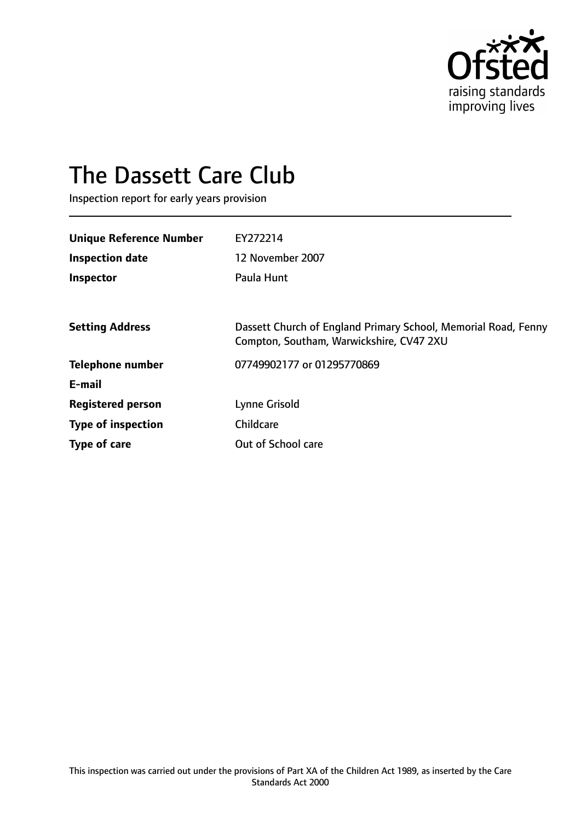

# The Dassett Care Club

Inspection report for early years provision

| <b>Unique Reference Number</b> | EY272214                                                                                                   |
|--------------------------------|------------------------------------------------------------------------------------------------------------|
| <b>Inspection date</b>         | 12 November 2007                                                                                           |
| Inspector                      | Paula Hunt                                                                                                 |
|                                |                                                                                                            |
| <b>Setting Address</b>         | Dassett Church of England Primary School, Memorial Road, Fenny<br>Compton, Southam, Warwickshire, CV47 2XU |
| <b>Telephone number</b>        | 07749902177 or 01295770869                                                                                 |
| E-mail                         |                                                                                                            |
| <b>Registered person</b>       | Lynne Grisold                                                                                              |
| <b>Type of inspection</b>      | Childcare                                                                                                  |
| Type of care                   | Out of School care                                                                                         |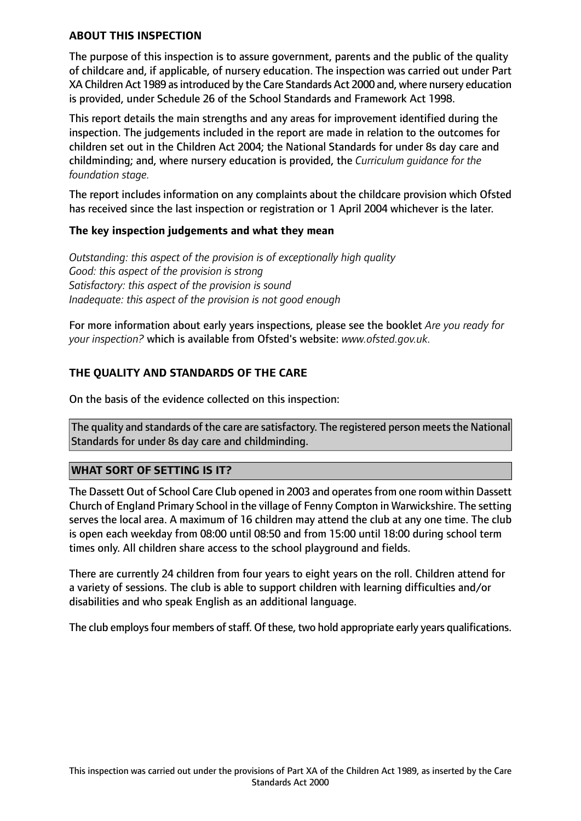# **ABOUT THIS INSPECTION**

The purpose of this inspection is to assure government, parents and the public of the quality of childcare and, if applicable, of nursery education. The inspection was carried out under Part XA Children Act 1989 as introduced by the Care Standards Act 2000 and, where nursery education is provided, under Schedule 26 of the School Standards and Framework Act 1998.

This report details the main strengths and any areas for improvement identified during the inspection. The judgements included in the report are made in relation to the outcomes for children set out in the Children Act 2004; the National Standards for under 8s day care and childminding; and, where nursery education is provided, the *Curriculum guidance for the foundation stage.*

The report includes information on any complaints about the childcare provision which Ofsted has received since the last inspection or registration or 1 April 2004 whichever is the later.

# **The key inspection judgements and what they mean**

*Outstanding: this aspect of the provision is of exceptionally high quality Good: this aspect of the provision is strong Satisfactory: this aspect of the provision is sound Inadequate: this aspect of the provision is not good enough*

For more information about early years inspections, please see the booklet *Are you ready for your inspection?* which is available from Ofsted's website: *www.ofsted.gov.uk.*

## **THE QUALITY AND STANDARDS OF THE CARE**

On the basis of the evidence collected on this inspection:

The quality and standards of the care are satisfactory. The registered person meets the National Standards for under 8s day care and childminding.

## **WHAT SORT OF SETTING IS IT?**

The Dassett Out of School Care Club opened in 2003 and operatesfrom one room within Dassett Church of England Primary School in the village of Fenny Compton in Warwickshire. The setting serves the local area. A maximum of 16 children may attend the club at any one time. The club is open each weekday from 08:00 until 08:50 and from 15:00 until 18:00 during school term times only. All children share access to the school playground and fields.

There are currently 24 children from four years to eight years on the roll. Children attend for a variety of sessions. The club is able to support children with learning difficulties and/or disabilities and who speak English as an additional language.

The club employs four members of staff. Of these, two hold appropriate early years qualifications.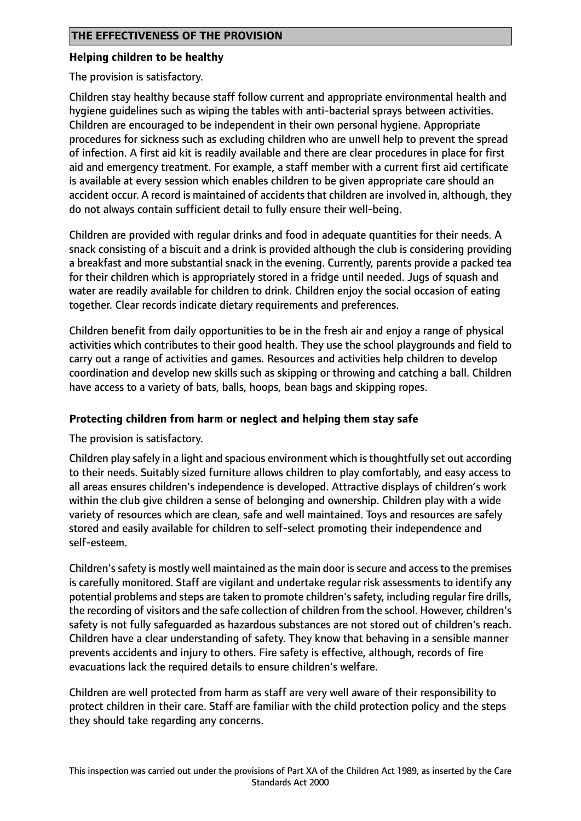# **Helping children to be healthy**

The provision is satisfactory.

Children stay healthy because staff follow current and appropriate environmental health and hygiene guidelines such as wiping the tables with anti-bacterial sprays between activities. Children are encouraged to be independent in their own personal hygiene. Appropriate procedures for sickness such as excluding children who are unwell help to prevent the spread of infection. A first aid kit is readily available and there are clear procedures in place for first aid and emergency treatment. For example, a staff member with a current first aid certificate is available at every session which enables children to be given appropriate care should an accident occur. A record is maintained of accidents that children are involved in, although, they do not always contain sufficient detail to fully ensure their well-being.

Children are provided with regular drinks and food in adequate quantities for their needs. A snack consisting of a biscuit and a drink is provided although the club is considering providing a breakfast and more substantial snack in the evening. Currently, parents provide a packed tea for their children which is appropriately stored in a fridge until needed. Jugs of squash and water are readily available for children to drink. Children enjoy the social occasion of eating together. Clear records indicate dietary requirements and preferences.

Children benefit from daily opportunities to be in the fresh air and enjoy a range of physical activities which contributes to their good health. They use the school playgrounds and field to carry out a range of activities and games. Resources and activities help children to develop coordination and develop new skills such as skipping or throwing and catching a ball. Children have access to a variety of bats, balls, hoops, bean bags and skipping ropes.

# **Protecting children from harm or neglect and helping them stay safe**

The provision is satisfactory.

Children play safely in a light and spacious environment which is thoughtfully set out according to their needs. Suitably sized furniture allows children to play comfortably, and easy access to all areas ensures children's independence is developed. Attractive displays of children's work within the club give children a sense of belonging and ownership. Children play with a wide variety of resources which are clean, safe and well maintained. Toys and resources are safely stored and easily available for children to self-select promoting their independence and self-esteem.

Children's safety is mostly well maintained as the main door is secure and access to the premises is carefully monitored. Staff are vigilant and undertake regular risk assessments to identify any potential problems and steps are taken to promote children'ssafety, including regular fire drills, the recording of visitors and the safe collection of children from the school. However, children's safety is not fully safeguarded as hazardous substances are not stored out of children's reach. Children have a clear understanding of safety. They know that behaving in a sensible manner prevents accidents and injury to others. Fire safety is effective, although, records of fire evacuations lack the required details to ensure children's welfare.

Children are well protected from harm as staff are very well aware of their responsibility to protect children in their care. Staff are familiar with the child protection policy and the steps they should take regarding any concerns.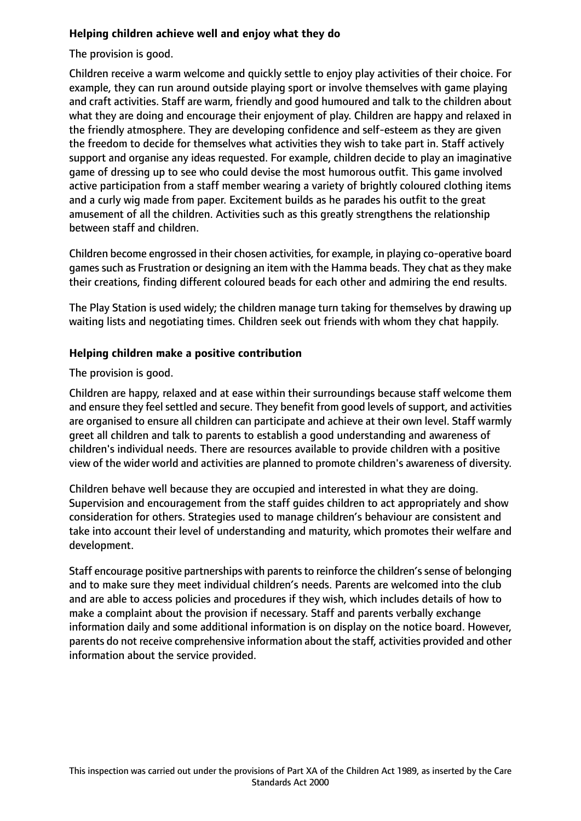# **Helping children achieve well and enjoy what they do**

The provision is good.

Children receive a warm welcome and quickly settle to enjoy play activities of their choice. For example, they can run around outside playing sport or involve themselves with game playing and craft activities. Staff are warm, friendly and good humoured and talk to the children about what they are doing and encourage their enjoyment of play. Children are happy and relaxed in the friendly atmosphere. They are developing confidence and self-esteem as they are given the freedom to decide for themselves what activities they wish to take part in. Staff actively support and organise any ideas requested. For example, children decide to play an imaginative game of dressing up to see who could devise the most humorous outfit. This game involved active participation from a staff member wearing a variety of brightly coloured clothing items and a curly wig made from paper. Excitement builds as he parades his outfit to the great amusement of all the children. Activities such as this greatly strengthens the relationship between staff and children.

Children become engrossed in their chosen activities, for example, in playing co-operative board games such as Frustration or designing an item with the Hamma beads. They chat as they make their creations, finding different coloured beads for each other and admiring the end results.

The Play Station is used widely; the children manage turn taking for themselves by drawing up waiting lists and negotiating times. Children seek out friends with whom they chat happily.

# **Helping children make a positive contribution**

The provision is good.

Children are happy, relaxed and at ease within their surroundings because staff welcome them and ensure they feel settled and secure. They benefit from good levels of support, and activities are organised to ensure all children can participate and achieve at their own level. Staff warmly greet all children and talk to parents to establish a good understanding and awareness of children's individual needs. There are resources available to provide children with a positive view of the wider world and activities are planned to promote children's awareness of diversity.

Children behave well because they are occupied and interested in what they are doing. Supervision and encouragement from the staff guides children to act appropriately and show consideration for others. Strategies used to manage children's behaviour are consistent and take into account their level of understanding and maturity, which promotes their welfare and development.

Staff encourage positive partnerships with parents to reinforce the children's sense of belonging and to make sure they meet individual children's needs. Parents are welcomed into the club and are able to access policies and procedures if they wish, which includes details of how to make a complaint about the provision if necessary. Staff and parents verbally exchange information daily and some additional information is on display on the notice board. However, parents do not receive comprehensive information about the staff, activities provided and other information about the service provided.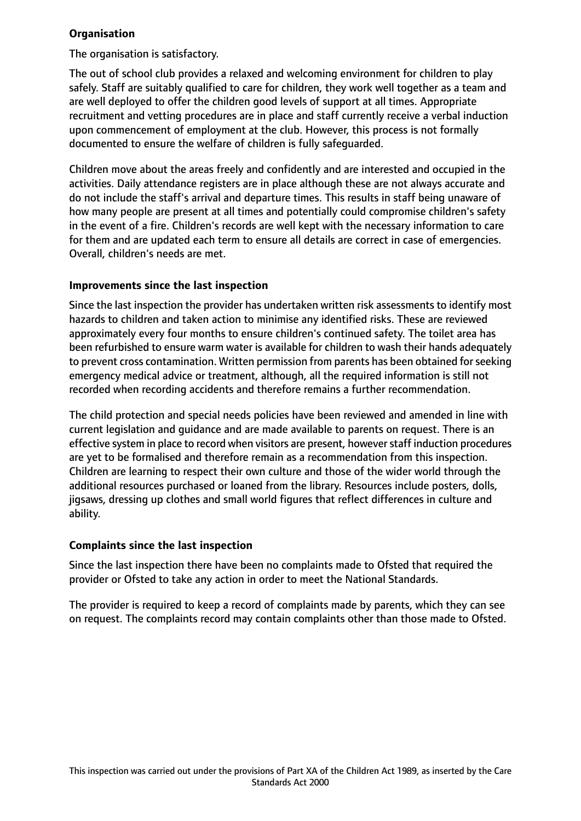# **Organisation**

The organisation is satisfactory.

The out of school club provides a relaxed and welcoming environment for children to play safely. Staff are suitably qualified to care for children, they work well together as a team and are well deployed to offer the children good levels of support at all times. Appropriate recruitment and vetting procedures are in place and staff currently receive a verbal induction upon commencement of employment at the club. However, this process is not formally documented to ensure the welfare of children is fully safeguarded.

Children move about the areas freely and confidently and are interested and occupied in the activities. Daily attendance registers are in place although these are not always accurate and do not include the staff's arrival and departure times. This results in staff being unaware of how many people are present at all times and potentially could compromise children's safety in the event of a fire. Children's records are well kept with the necessary information to care for them and are updated each term to ensure all details are correct in case of emergencies. Overall, children's needs are met.

## **Improvements since the last inspection**

Since the last inspection the provider has undertaken written risk assessments to identify most hazards to children and taken action to minimise any identified risks. These are reviewed approximately every four months to ensure children's continued safety. The toilet area has been refurbished to ensure warm water is available for children to wash their hands adequately to prevent cross contamination. Written permission from parents has been obtained forseeking emergency medical advice or treatment, although, all the required information is still not recorded when recording accidents and therefore remains a further recommendation.

The child protection and special needs policies have been reviewed and amended in line with current legislation and guidance and are made available to parents on request. There is an effective system in place to record when visitors are present, howeverstaff induction procedures are yet to be formalised and therefore remain as a recommendation from this inspection. Children are learning to respect their own culture and those of the wider world through the additional resources purchased or loaned from the library. Resources include posters, dolls, jigsaws, dressing up clothes and small world figures that reflect differences in culture and ability.

## **Complaints since the last inspection**

Since the last inspection there have been no complaints made to Ofsted that required the provider or Ofsted to take any action in order to meet the National Standards.

The provider is required to keep a record of complaints made by parents, which they can see on request. The complaints record may contain complaints other than those made to Ofsted.